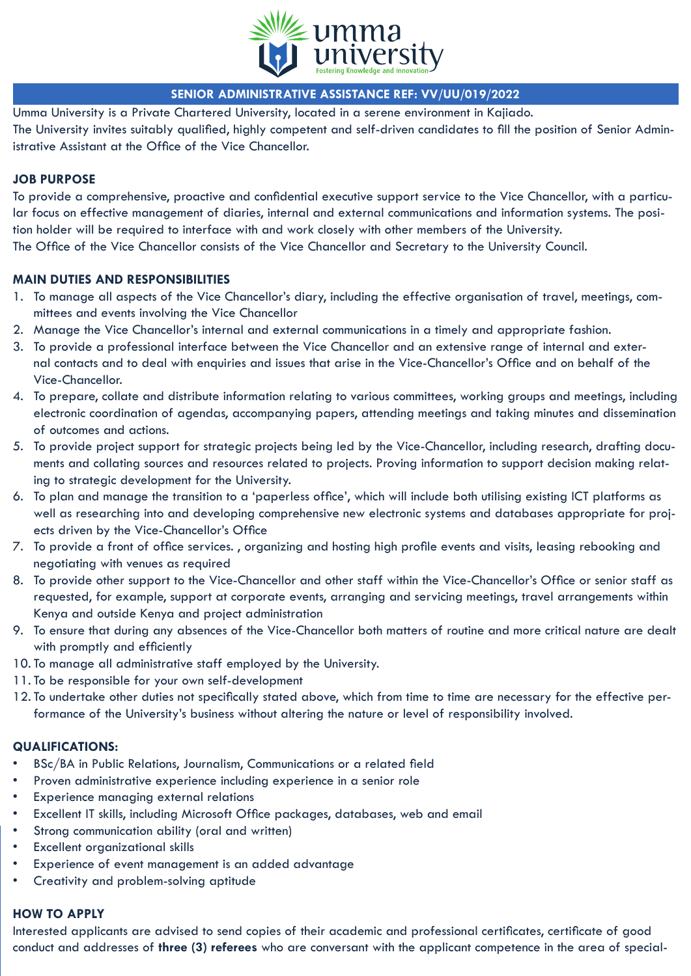

# **SENIOR ADMINISTRATIVE ASSISTANCE REF: VV/UU/019/2022**

Umma University is a Private Chartered University, located in a serene environment in Kajiado. The University invites suitably qualified, highly competent and self-driven candidates to fill the position of Senior Administrative Assistant at the Office of the Vice Chancellor.

## **JOB PURPOSE**

To provide a comprehensive, proactive and confidential executive support service to the Vice Chancellor, with a particular focus on effective management of diaries, internal and external communications and information systems. The position holder will be required to interface with and work closely with other members of the University. The Office of the Vice Chancellor consists of the Vice Chancellor and Secretary to the University Council.

# **MAIN DUTIES AND RESPONSIBILITIES**

- 1. To manage all aspects of the Vice Chancellor's diary, including the effective organisation of travel, meetings, committees and events involving the Vice Chancellor
- 2. Manage the Vice Chancellor's internal and external communications in a timely and appropriate fashion.
- 3. To provide a professional interface between the Vice Chancellor and an extensive range of internal and external contacts and to deal with enquiries and issues that arise in the Vice-Chancellor's Office and on behalf of the Vice-Chancellor.
- 4. To prepare, collate and distribute information relating to various committees, working groups and meetings, including electronic coordination of agendas, accompanying papers, attending meetings and taking minutes and dissemination of outcomes and actions.
- 5. To provide project support for strategic projects being led by the Vice-Chancellor, including research, drafting documents and collating sources and resources related to projects. Proving information to support decision making relating to strategic development for the University.
- 6. To plan and manage the transition to a 'paperless office', which will include both utilising existing ICT platforms as well as researching into and developing comprehensive new electronic systems and databases appropriate for projects driven by the Vice-Chancellor's Office
- 7. To provide a front of office services. , organizing and hosting high profile events and visits, leasing rebooking and negotiating with venues as required
- 8. To provide other support to the Vice-Chancellor and other staff within the Vice-Chancellor's Office or senior staff as requested, for example, support at corporate events, arranging and servicing meetings, travel arrangements within Kenya and outside Kenya and project administration
- 9. To ensure that during any absences of the Vice-Chancellor both matters of routine and more critical nature are dealt with promptly and efficiently
- 10. To manage all administrative staff employed by the University.
- 11. To be responsible for your own self-development
- 12. To undertake other duties not specifically stated above, which from time to time are necessary for the effective performance of the University's business without altering the nature or level of responsibility involved.

#### **QUALIFICATIONS:**

- BSc/BA in Public Relations, Journalism, Communications or a related field
- Proven administrative experience including experience in a senior role
- Experience managing external relations
- Excellent IT skills, including Microsoft Office packages, databases, web and email
- Strong communication ability (oral and written)
- Excellent organizational skills
- Experience of event management is an added advantage
- Creativity and problem-solving aptitude

# **HOW TO APPLY**

Interested applicants are advised to send copies of their academic and professional certificates, certificate of good conduct and addresses of **three (3) referees** who are conversant with the applicant competence in the area of special